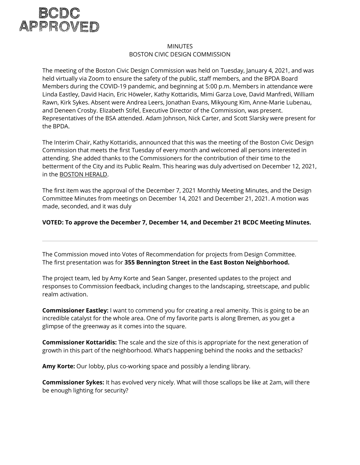# BCDC APPROVED

#### **MINUTES** BOSTON CIVIC DESIGN COMMISSION

The meeting of the Boston Civic Design Commission was held on Tuesday, January 4, 2021, and was held virtually via Zoom to ensure the safety of the public, staff members, and the BPDA Board Members during the COVID-19 pandemic, and beginning at 5:00 p.m. Members in attendance were Linda Eastley, David Hacin, Eric Höweler, Kathy Kottaridis, Mimi Garza Love, David Manfredi, William Rawn, Kirk Sykes. Absent were Andrea Leers, Jonathan Evans, Mikyoung Kim, Anne-Marie Lubenau, and Deneen Crosby. Elizabeth Stifel, Executive Director of the Commission, was present. Representatives of the BSA attended. Adam Johnson, Nick Carter, and Scott Slarsky were present for the BPDA.

The Interim Chair, Kathy Kottaridis, announced that this was the meeting of the Boston Civic Design Commission that meets the first Tuesday of every month and welcomed all persons interested in attending. She added thanks to the Commissioners for the contribution of their time to the betterment of the City and its Public Realm. This hearing was duly advertised on December 12, 2021, in the BOSTON HERALD.

The first item was the approval of the December 7, 2021 Monthly Meeting Minutes, and the Design Committee Minutes from meetings on December 14, 2021 and December 21, 2021. A motion was made, seconded, and it was duly

## **VOTED: To approve the December 7, December 14, and December 21 BCDC Meeting Minutes.**

The Commission moved into Votes of Recommendation for projects from Design Committee. The first presentation was for **355 Bennington Street in the East Boston Neighborhood.** 

The project team, led by Amy Korte and Sean Sanger, presented updates to the project and responses to Commission feedback, including changes to the landscaping, streetscape, and public realm activation.

**Commissioner Eastley:** I want to commend you for creating a real amenity. This is going to be an incredible catalyst for the whole area. One of my favorite parts is along Bremen, as you get a glimpse of the greenway as it comes into the square.

**Commissioner Kottaridis:** The scale and the size of this is appropriate for the next generation of growth in this part of the neighborhood. What's happening behind the nooks and the setbacks?

**Amy Korte:** Our lobby, plus co-working space and possibly a lending library.

**Commissioner Sykes:** It has evolved very nicely. What will those scallops be like at 2am, will there be enough lighting for security?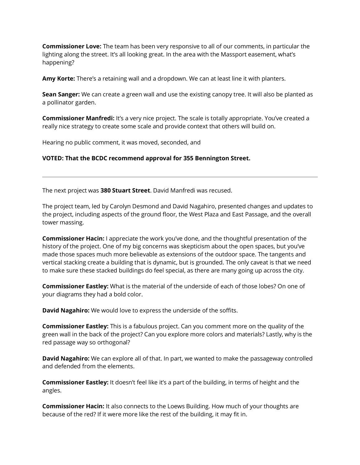**Commissioner Love:** The team has been very responsive to all of our comments, in particular the lighting along the street. It's all looking great. In the area with the Massport easement, what's happening?

**Amy Korte:** There's a retaining wall and a dropdown. We can at least line it with planters.

**Sean Sanger:** We can create a green wall and use the existing canopy tree. It will also be planted as a pollinator garden.

**Commissioner Manfredi:** It's a very nice project. The scale is totally appropriate. You've created a really nice strategy to create some scale and provide context that others will build on.

Hearing no public comment, it was moved, seconded, and

#### **VOTED: That the BCDC recommend approval for 355 Bennington Street.**

The next project was **380 Stuart Street**. David Manfredi was recused.

The project team, led by Carolyn Desmond and David Nagahiro, presented changes and updates to the project, including aspects of the ground floor, the West Plaza and East Passage, and the overall tower massing.

**Commissioner Hacin:** I appreciate the work you've done, and the thoughtful presentation of the history of the project. One of my big concerns was skepticism about the open spaces, but you've made those spaces much more believable as extensions of the outdoor space. The tangents and vertical stacking create a building that is dynamic, but is grounded. The only caveat is that we need to make sure these stacked buildings do feel special, as there are many going up across the city.

**Commissioner Eastley:** What is the material of the underside of each of those lobes? On one of your diagrams they had a bold color.

**David Nagahiro:** We would love to express the underside of the soffits.

**Commissioner Eastley:** This is a fabulous project. Can you comment more on the quality of the green wall in the back of the project? Can you explore more colors and materials? Lastly, why is the red passage way so orthogonal?

**David Nagahiro:** We can explore all of that. In part, we wanted to make the passageway controlled and defended from the elements.

**Commissioner Eastley:** It doesn't feel like it's a part of the building, in terms of height and the angles.

**Commissioner Hacin:** It also connects to the Loews Building. How much of your thoughts are because of the red? If it were more like the rest of the building, it may fit in.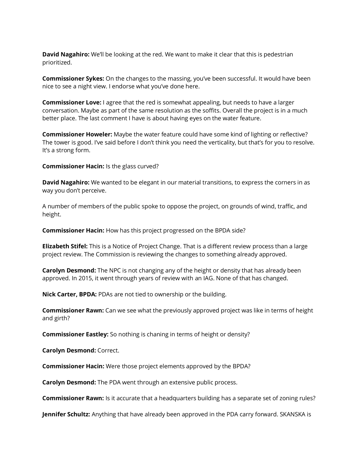**David Nagahiro:** We'll be looking at the red. We want to make it clear that this is pedestrian prioritized.

**Commissioner Sykes:** On the changes to the massing, you've been successful. It would have been nice to see a night view. I endorse what you've done here.

**Commissioner Love:** I agree that the red is somewhat appealing, but needs to have a larger conversation. Maybe as part of the same resolution as the soffits. Overall the project is in a much better place. The last comment I have is about having eyes on the water feature.

**Commissioner Howeler:** Maybe the water feature could have some kind of lighting or reflective? The tower is good. I've said before I don't think you need the verticality, but that's for you to resolve. It's a strong form.

**Commissioner Hacin:** Is the glass curved?

**David Nagahiro:** We wanted to be elegant in our material transitions, to express the corners in as way you don't perceive.

A number of members of the public spoke to oppose the project, on grounds of wind, traffic, and height.

**Commissioner Hacin:** How has this project progressed on the BPDA side?

**Elizabeth Stifel:** This is a Notice of Project Change. That is a different review process than a large project review. The Commission is reviewing the changes to something already approved.

**Carolyn Desmond:** The NPC is not changing any of the height or density that has already been approved. In 2015, it went through years of review with an IAG. None of that has changed.

**Nick Carter, BPDA:** PDAs are not tied to ownership or the building.

**Commissioner Rawn:** Can we see what the previously approved project was like in terms of height and girth?

**Commissioner Eastley:** So nothing is chaning in terms of height or density?

**Carolyn Desmond:** Correct.

**Commissioner Hacin:** Were those project elements approved by the BPDA?

**Carolyn Desmond:** The PDA went through an extensive public process.

**Commissioner Rawn:** Is it accurate that a headquarters building has a separate set of zoning rules?

**Jennifer Schultz:** Anything that have already been approved in the PDA carry forward. SKANSKA is